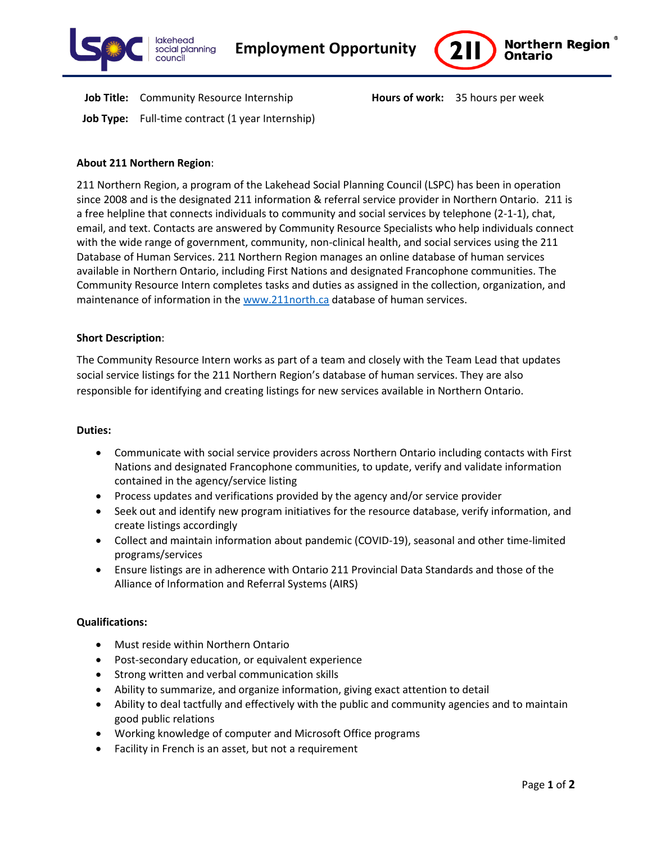



**Job Title:** Community Resource Internship **Hours of work:** 35 hours per week **Job Type:** Full-time contract (1 year Internship)

# **About 211 Northern Region**:

211 Northern Region, a program of the Lakehead Social Planning Council (LSPC) has been in operation since 2008 and is the designated 211 information & referral service provider in Northern Ontario. 211 is a free helpline that connects individuals to community and social services by telephone (2-1-1), chat, email, and text. Contacts are answered by Community Resource Specialists who help individuals connect with the wide range of government, community, non-clinical health, and social services using the 211 Database of Human Services. 211 Northern Region manages an online database of human services available in Northern Ontario, including First Nations and designated Francophone communities. The Community Resource Intern completes tasks and duties as assigned in the collection, organization, and maintenance of information in th[e www.211north.ca](http://www.211north.ca/) database of human services.

## **Short Description**:

The Community Resource Intern works as part of a team and closely with the Team Lead that updates social service listings for the 211 Northern Region's database of human services. They are also responsible for identifying and creating listings for new services available in Northern Ontario.

#### **Duties:**

- Communicate with social service providers across Northern Ontario including contacts with First Nations and designated Francophone communities, to update, verify and validate information contained in the agency/service listing
- Process updates and verifications provided by the agency and/or service provider
- Seek out and identify new program initiatives for the resource database, verify information, and create listings accordingly
- Collect and maintain information about pandemic (COVID-19), seasonal and other time-limited programs/services
- Ensure listings are in adherence with Ontario 211 Provincial Data Standards and those of the Alliance of Information and Referral Systems (AIRS)

# **Qualifications:**

- Must reside within Northern Ontario
- Post-secondary education, or equivalent experience
- Strong written and verbal communication skills
- Ability to summarize, and organize information, giving exact attention to detail
- Ability to deal tactfully and effectively with the public and community agencies and to maintain good public relations
- Working knowledge of computer and Microsoft Office programs
- Facility in French is an asset, but not a requirement